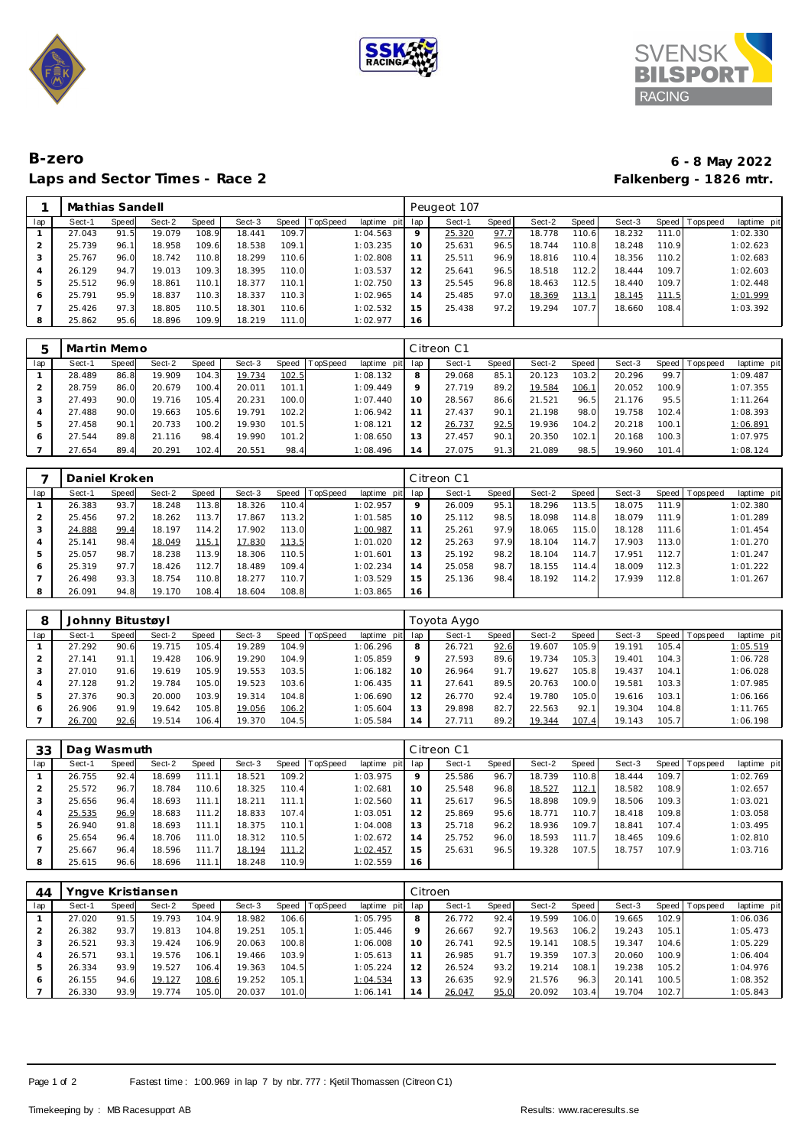





## **B-zero 6 - 8 May 2022** Laps and Sector Times - Race 2

|     | Mathias Sandell |       |        |       |        |                    |                |             |             | Peugeot 107 |       |        |       |        |              |            |             |
|-----|-----------------|-------|--------|-------|--------|--------------------|----------------|-------------|-------------|-------------|-------|--------|-------|--------|--------------|------------|-------------|
| lap | Sect-1          | Speed | Sect-2 | Speed | Sect-3 |                    | Speed TopSpeed | laptime pit | lap         | Sect-1      | Speed | Sect-2 | Speed | Sect-3 | Speed        | T ops peed | laptime pit |
|     | 27.043          | 91.5  | 19.079 | 108.9 | 18.441 | 109.7 <sub>1</sub> |                | 1:04.563    | $\mathsf Q$ | 25.320      | 97.7  | 18.778 | 110.6 | 18.232 | 111.0        |            | 1:02.330    |
|     | 25.739          | 96.   | 18.958 | 109.6 | 18.538 | 109.1              |                | 1:03.235    | 10          | 25.631      | 96.5  | 18.744 | 110.8 | 18.248 | 110.9        |            | 1:02.623    |
| 3   | 25.767          | 96.0  | 18.742 | 110.8 | 18.299 | 110.6              |                | 1:02.808    | 11          | 25.511      | 96.9  | 18.816 | 110.4 | 18.356 | 110.2        |            | 1:02.683    |
|     | 26.129          | 94.7  | 19.013 | 109.3 | 18.395 | 110.0              |                | 1:03.537    | 12          | 25.641      | 96.5  | 18.518 | 112.2 | 18.444 | 109.7        |            | 1:02.603    |
| 5   | 25.512          | 96.9  | 18.861 | 110.1 | 18.377 | 110.1              |                | 1:02.750    | 13          | 25.545      | 96.8  | 18.463 | 112.5 | 18.440 | 109.7        |            | 1:02.448    |
| 6   | 25.791          | 95.9  | 18.837 | 110.3 | 18.337 | 110.3              |                | 1:02.965    | 14          | 25.485      | 97.C  | 18.369 | 113.1 | 18.145 | <u>111.5</u> |            | 1:01.999    |
|     | 25.426          | 97.3  | 18.805 | 110.5 | 18.301 | 110.6              |                | 1:02.532    | 15          | 25.438      | 97.2  | 19.294 | 107.7 | 18.660 | 108.4        |            | 1:03.392    |
| 8   | 25.862          | 95.6  | 18.896 | 109.9 | 18.219 | 111.0              |                | 1:02.977    | 16          |             |       |        |       |        |              |            |             |

| 5   | Martin Memo |       |        |       |        |       |          |                |     | Citreon C1 |              |        |       |        |       |                 |             |
|-----|-------------|-------|--------|-------|--------|-------|----------|----------------|-----|------------|--------------|--------|-------|--------|-------|-----------------|-------------|
| lap | Sect-1      | Speed | Sect-2 | Speed | Sect-3 | Speed | TopSpeed | laptime<br>pit | lap | Sect-1     | <b>Speed</b> | Sect-2 | Speed | Sect-3 |       | Speed Tops peed | laptime pit |
|     | 28.489      | 86.8  | 19.909 | 104.3 | 19.734 | 102.5 |          | 1:08.132       | 8   | 29.068     | 85.7         | 20.123 | 103.2 | 20.296 | 99.7  |                 | 1:09.487    |
|     | 28.759      | 86.0  | 20.679 | 100.4 | 20.011 | 101.1 |          | 1:09.449       | Q   | 27.719     | 89.2         | 19.584 | 106.1 | 20.052 | 100.9 |                 | 1:07.355    |
| 3   | 27.493      | 90.0  | 19.716 | 105.4 | 20.231 | 100.0 |          | 1:07.440       | 10  | 28.567     | 86.6         | 21.521 | 96.5  | 21.176 | 95.5  |                 | 1:11.264    |
| 4   | 27.488      | 90.0  | 19.663 | 105.6 | 19.791 | 102.2 |          | 1:06.942       | 11  | 27.437     | 90.1         | 21.198 | 98.0  | 19.758 | 102.4 |                 | 1:08.393    |
| 5   | 27.458      | 90.1  | 20.733 | 100.2 | 19.930 | 101.5 |          | 1:08.121       | 12  | 26.737     | 92.5         | 19.936 | 104.2 | 20.218 | 100.1 |                 | 1:06.891    |
| O   | 27.544      | 89.8  | 21.116 | 98.4  | 19.990 | 101.2 |          | 1:08.650       | 13  | 27.457     | 90.1         | 20.350 | 102.1 | 20.168 | 100.3 |                 | 1:07.975    |
|     | 27.654      | 89.4  | 20.291 | 102.4 | 20.551 | 98.4  |          | 1:08.496       | 14  | 27.075     | 91.3         | 21.089 | 98.5  | 19.960 | 101.4 |                 | 1:08.124    |

|     | Daniel Kroken |       |        |       |        |               |                 |             |     | Citreon C1 |       |        |       |        |       |                   |             |
|-----|---------------|-------|--------|-------|--------|---------------|-----------------|-------------|-----|------------|-------|--------|-------|--------|-------|-------------------|-------------|
| lap | Sect-1        | Speed | Sect-2 | Speed | Sect-3 | Speed         | <b>TopSpeed</b> | laptime pit | lap | Sect-1     | Speed | Sect-2 | Speed | Sect-3 |       | Speed   Tops peed | laptime pit |
|     | 26.383        | 93.7  | 18.248 | 113.8 | 18.326 | 110.4         |                 | 1:02.957    | 9   | 26.009     | 95.1  | 18.296 | 113.5 | 18.075 | 111.9 |                   | 1:02.380    |
|     | 25.456        | 97.2  | 18.262 | 113.7 | 17.867 | 113.2         |                 | 1:01.585    | 10  | 25.112     | 98.5  | 18.098 | 114.8 | 18.079 | 111.9 |                   | 1:01.289    |
|     | 24.888        | 99.4  | 18.197 | 114.2 | 17.902 | 113.0         |                 | 1:00.987    | 11  | 25.261     | 97.9  | 18.065 | 115.0 | 18.128 | 111.6 |                   | 1:01.454    |
|     | 25.141        | 98.4  | 18.049 | 115.1 | 17.830 | <u> 113.5</u> |                 | 1:01.020    | 12  | 25.263     | 97.9  | 18.104 | 114.7 | 17.903 | 113.0 |                   | 1:01.270    |
| ь   | 25.057        | 98.7  | 18.238 | 113.9 | 18.306 | 110.5         |                 | 1:01.601    | 13  | 25.192     | 98.2  | 18.104 | 114.7 | 17.951 | 112.7 |                   | 1:01.247    |
| 6   | 25.319        | 97.7  | 18.426 | 112.7 | 18.489 | 109.4         |                 | 1:02.234    | 14  | 25.058     | 98.7  | 18.155 | 114.4 | 18.009 | 112.3 |                   | 1:01.222    |
|     | 26.498        | 93.3  | 18.754 | 110.8 | 18.277 | 110.7         |                 | 1:03.529    | 15  | 25.136     | 98.4  | 18.192 | 114.2 | 17.939 | 112.8 |                   | 1:01.267    |
| 8   | 26.091        | 94.8  | 19.170 | 108.4 | 18.604 | 108.8         |                 | 1:03.865    | 16  |            |       |        |       |        |       |                   |             |

| 8   |        | Johnny Bitustøyl |        |       |        |       |                |             |     | Toyota Aygo |       |        |       |        |       |                |             |
|-----|--------|------------------|--------|-------|--------|-------|----------------|-------------|-----|-------------|-------|--------|-------|--------|-------|----------------|-------------|
| lap | Sect-1 | Speed            | Sect-2 | Speed | Sect-3 |       | Speed TopSpeed | laptime pit | lap | Sect-1      | Speed | Sect-2 | Speed | Sect-3 |       | Speed Topspeed | laptime pit |
|     | 27.292 | 90.6             | 19.715 | 105.4 | 19.289 | 104.9 |                | 1:06.296    | 8   | 26.721      | 92.6  | 19.607 | 105.9 | 19.191 | 105.4 |                | 1:05.519    |
|     | 27.141 | 91.1             | 19.428 | 106.9 | 19.290 | 104.9 |                | 1:05.859    | 9   | 27.593      | 89.6  | 19.734 | 105.3 | 19.401 | 104.3 |                | 1:06.728    |
|     | 27.010 | 91.6             | 19.619 | 105.9 | 19.553 | 103.5 |                | 1:06.182    | 10  | 26.964      | 91.7  | 19.627 | 105.8 | 19.437 | 104.1 |                | 1:06.028    |
|     | 27.128 | 91.2             | 19.784 | 105.0 | 19.523 | 103.6 |                | 1:06.435    | 11  | 27.641      | 89.5  | 20.763 | 100.0 | 19.581 | 103.3 |                | 1:07.985    |
| 5   | 27.376 | 90.3             | 20.000 | 103.9 | 19.314 | 104.8 |                | 1:06.690    | 12  | 26.770      | 92.4  | 19.780 | 105.0 | 19.616 | 103.1 |                | 1:06.166    |
| O   | 26.906 | 91.9             | 19.642 | 105.8 | 19.056 | 106.2 |                | 1:05.604    | 13  | 29.898      | 82.7  | 22.563 | 92.1  | 19.304 | 104.8 |                | 1:11.765    |
|     | 26.700 | 92.6             | 19.514 | 106.4 | 19.370 | 104.5 |                | 1:05.584    | 14  | 27.711      | 89.2  | 19.344 | 107.4 | 19.143 | 105.7 |                | 1:06.198    |

| 33  | Dag Wasmuth |       |        |                    |        |                    |          |             |         | Citreon C1 |       |        |       |        |       |                 |             |
|-----|-------------|-------|--------|--------------------|--------|--------------------|----------|-------------|---------|------------|-------|--------|-------|--------|-------|-----------------|-------------|
| lap | Sect-1      | Speed | Sect-2 | Speed              | Sect-3 | Speed              | TopSpeed | laptime pit | lap     | Sect-1     | Speed | Sect-2 | Speed | Sect-3 |       | Speed Tops peed | laptime pit |
|     | 26.755      | 92.4  | 18.699 | 111.1 <sub>1</sub> | 18.521 | 109.2 <sub>1</sub> |          | 1:03.975    | $\circ$ | 25.586     | 96.7  | 18.739 | 110.8 | 18.444 | 109.7 |                 | 1:02.769    |
|     | 25.572      | 96.   | 18.784 | 110.6              | 18.325 | 110.4              |          | 1:02.681    | 10      | 25.548     | 96.8  | 18.527 | 112.1 | 18.582 | 108.9 |                 | 1:02.657    |
|     | 25.656      | 96.4  | 18.693 | 111.1              | 18.211 | 111.1              |          | 1:02.560    |         | 25.617     | 96.5  | 18.898 | 109.9 | 18.506 | 109.3 |                 | 1:03.021    |
| 4   | 25.535      | 96.9  | 18.683 | 111.2              | 18.833 | 107.4              |          | 1:03.051    | 12      | 25.869     | 95.6  | 18.771 | 110.7 | 18.418 | 109.8 |                 | 1:03.058    |
| 5   | 26.940      | 91.8  | 18.693 | 111.1              | 18.375 | 110.1              |          | 1:04.008    | 13      | 25.718     | 96.2  | 18.936 | 109.7 | 18.841 | 107.4 |                 | 1:03.495    |
| O   | 25.654      | 96.4  | 18.706 | 111.0              | 18.312 | 110.5              |          | 1:02.672    | 14      | 25.752     | 96.0  | 18.593 | 111.7 | 18.465 | 109.6 |                 | 1:02.810    |
|     | 25.667      | 96.4  | 18.596 | 111.7              | 18.194 | 111.2              |          | 1:02.457    | 15      | 25.631     | 96.5  | 19.328 | 107.5 | 18.757 | 107.9 |                 | 1:03.716    |
| 8   | 25.615      | 96.6  | 18.696 | 111.1              | 18.248 | 110.9              |          | 1:02.559    | 16      |            |       |        |       |        |       |                 |             |

| 44  | Yngve Kristiansen |       |        |       |        |       |          |             |         | Citroen |       |        |       |        |         |             |             |
|-----|-------------------|-------|--------|-------|--------|-------|----------|-------------|---------|---------|-------|--------|-------|--------|---------|-------------|-------------|
| lap | Sect-1            | Speed | Sect-2 | Speed | Sect-3 | Speed | TopSpeed | laptime pit | lap     | Sect-1  | Speed | Sect-2 | Speed | Sect-3 | Speed I | T ops pee d | laptime pit |
|     | 27.020            | 91.5  | 19.793 | 104.9 | 18.982 | 106.6 |          | 1:05.795    | 8       | 26.772  | 92.4  | 19.599 | 106.0 | 19.665 | 102.9   |             | 1:06.036    |
|     | 26.382            | 93.7  | 19.813 | 104.8 | 19.251 | 105.1 |          | 1:05.446    | $\circ$ | 26.667  | 92.7  | 19.563 | 106.2 | 19.243 | 105.1   |             | 1:05.473    |
| 3   | 26.521            | 93.3  | 19.424 | 106.9 | 20.063 | 100.8 |          | 1:06.008    | 10      | 26.741  | 92.5  | 19.141 | 108.5 | 19.347 | 104.6   |             | 1:05.229    |
| 4   | 26.571            | 93.1  | 19.576 | 106.1 | 19.466 | 103.9 |          | 1:05.613    | 11      | 26.985  | 91.7  | 19.359 | 107.3 | 20.060 | 100.9   |             | 1:06.404    |
| 5   | 26.334            | 93.9  | 19.527 | 106.4 | 19.363 | 104.5 |          | 1:05.224    | 12      | 26.524  | 93.2  | 19.214 | 108.1 | 19.238 | 105.2   |             | 1:04.976    |
| 6   | 26.155            | 94.6  | 19.127 | 108.6 | 19.252 | 105.1 |          | 1:04.534    | 13      | 26.635  | 92.9  | 21.576 | 96.3  | 20.141 | 100.5   |             | 1:08.352    |
|     | 26.330            | 93.9  | 19.774 | 105.0 | 20.037 | 101.0 |          | 1:06.141    | 14      | 26.047  | 95.0  | 20.092 | 103.4 | 19.704 | 102.7   |             | 1:05.843    |